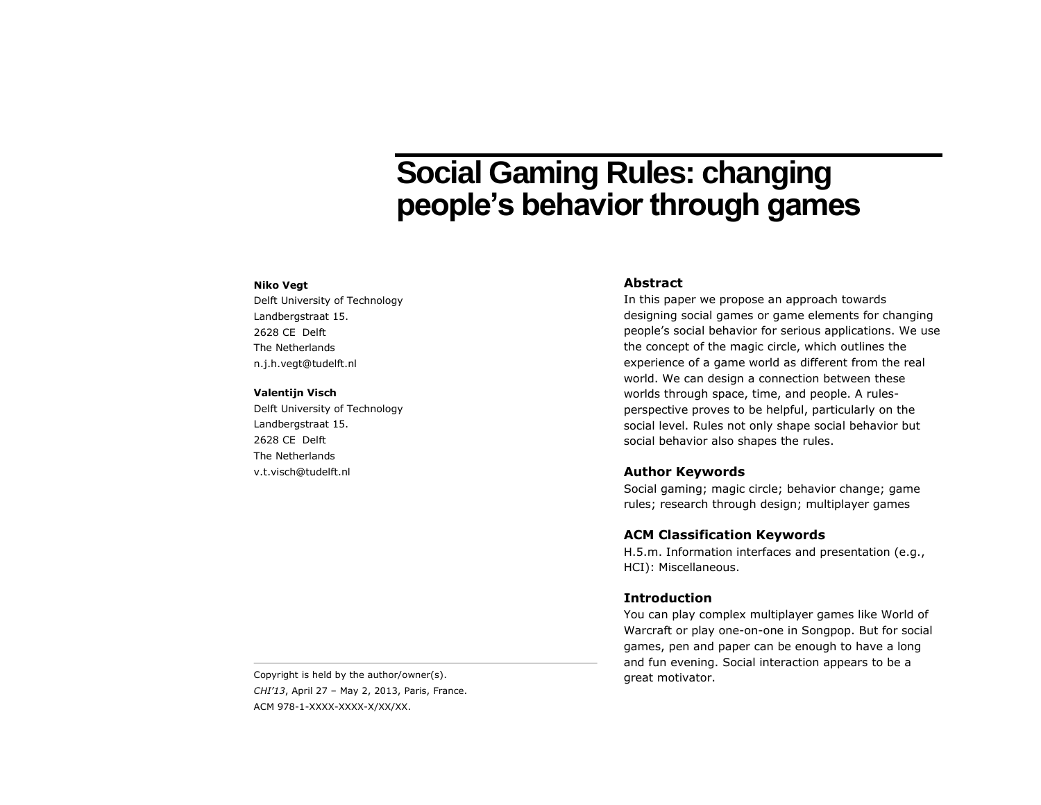# **Social Gaming Rules: changing people's behavior through games**

#### **Niko Vegt**

Delft University of Technology Landbergstraat 15. 2628 CE Delft The Netherlands n.j.h.vegt@tudelft.nl

### **Valentijn Visch**

Delft University of Technology Landbergstraat 15. 2628 CE Delft The Netherlands v.t.visch@tudelft.nl

## **Abstract**

In this paper we propose an approach towards designing social games or game elements for changing people's social behavior for serious applications. We use the concept of the magic circle, which outlines the experience of a game world as different from the real world. We can design a connection between these worlds through space, time, and people. A rulesperspective proves to be helpful, particularly on the social level. Rules not only shape social behavior but social behavior also shapes the rules.

## **Author Keywords**

Social gaming; magic circle; behavior change; game rules; research through design; multiplayer games

## **ACM Classification Keywords**

H.5.m. Information interfaces and presentation (e.g., HCI): Miscellaneous.

## **Introduction**

You can play complex multiplayer games like World of Warcraft or play one-on-one in Songpop. But for social games, pen and paper can be enough to have a long and fun evening. Social interaction appears to be a

great motivator. Copyright is held by the author/owner(s). *CHI'13*, April 27 – May 2, 2013, Paris, France. ACM 978-1-XXXX-XXXX-X/XX/XX.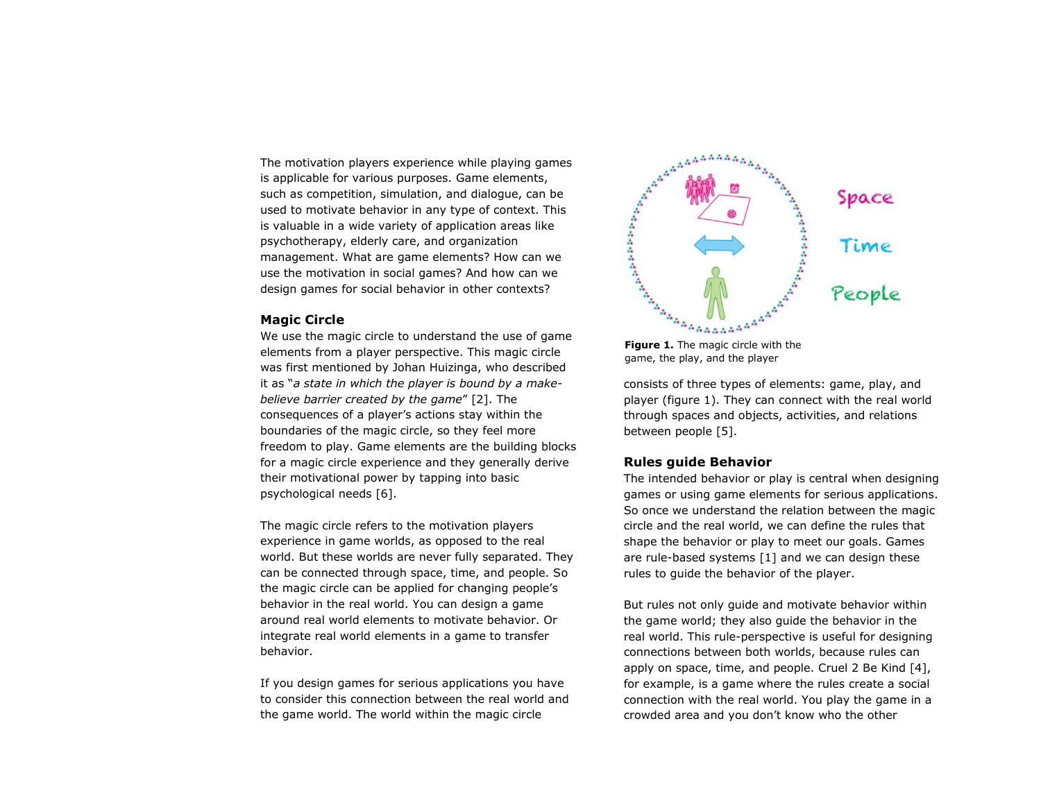The motivation players experience while playing games is applicable for various purposes. Game elements, such as competition, simulation, and dialogue, can be used to motivate behavior in any type of context. This is valuable in a wide variety of application areas like psychotherapy, elderly care, and organization management. What are game elements? How can we use the motivation in social games? And how can we design games for social behavior in other contexts?

## **Magic Circle**

We use the magic circle to understand the use of game elements from a player perspective. This magic circle was first mentioned by Johan Huizinga, who described it as "*a state in which the player is bound by a makebelieve barrier created by the game*" [2]. The consequences of a player's actions stay within the boundaries of the magic circle, so they feel more freedom to play. Game elements are the building blocks for a magic circle experience and they generally derive their motivational power by tapping into basic psychological needs [6].

The magic circle refers to the motivation players experience in game worlds, as opposed to the real world. But these worlds are never fully separated. They can be connected through space, time, and people. So the magic circle can be applied for changing people's behavior in the real world. You can design a game around real world elements to motivate behavior. Or integrate real world elements in a game to transfer behavior.

If you design games for serious applications you have to consider this connection between the real world and the game world. The world within the magic circle



**Figure 1.** The magic circle with the

consists of three types of elements: game, play, and player (figure 1). They can connect with the real world through spaces and objects, activities, and relations between people [5].

## **Rules guide Behavior**

The intended behavior or play is central when designing games or using game elements for serious applications. So once we understand the relation between the magic circle and the real world, we can define the rules that shape the behavior or play to meet our goals. Games are rule-based systems [1] and we can design these rules to guide the behavior of the player.

But rules not only guide and motivate behavior within the game world; they also guide the behavior in the real world. This rule-perspective is useful for designing connections between both worlds, because rules can apply on space, time, and people. Cruel 2 Be Kind [4], for example, is a game where the rules create a social connection with the real world. You play the game in a crowded area and you don't know who the other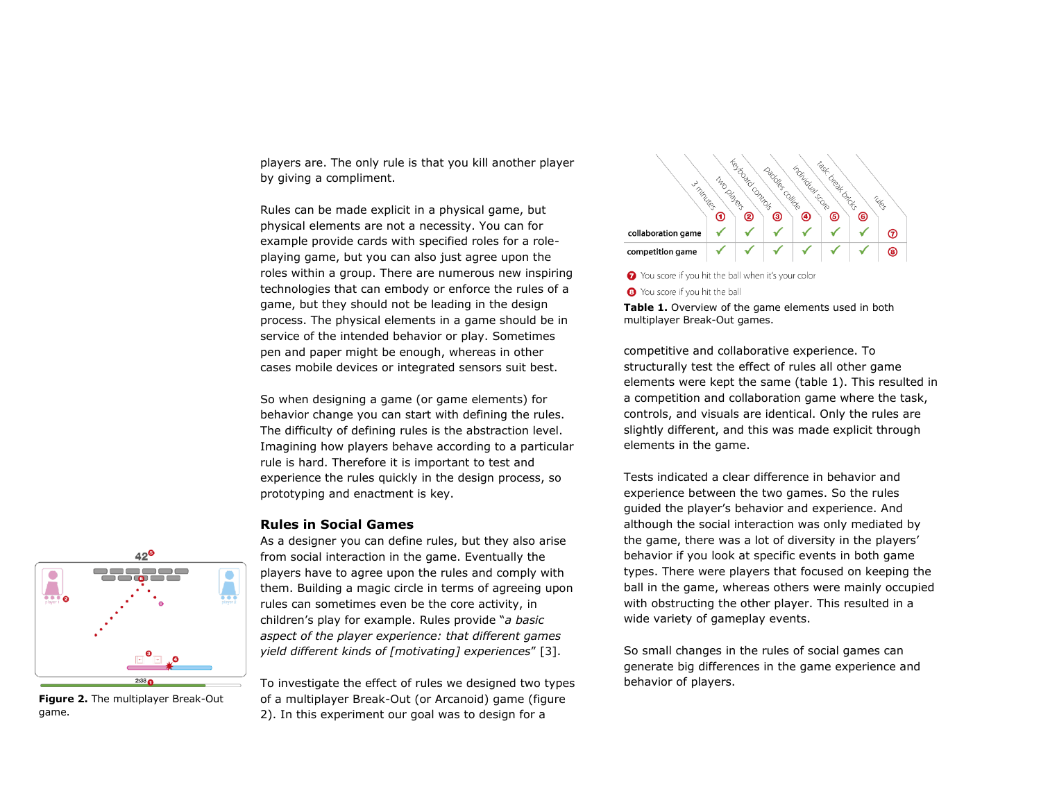players are. The only rule is that you kill another player by giving a compliment.

Rules can be made explicit in a physical game, but physical elements are not a necessity. You can for example provide cards with specified roles for a roleplaying game, but you can also just agree upon the roles within a group. There are numerous new inspiring technologies that can embody or enforce the rules of a game, but they should not be leading in the design process. The physical elements in a game should be in service of the intended behavior or play. Sometimes pen and paper might be enough, whereas in other cases mobile devices or integrated sensors suit best.

So when designing a game (or game elements) for behavior change you can start with defining the rules. The difficulty of defining rules is the abstraction level. Imagining how players behave according to a particular rule is hard. Therefore it is important to test and experience the rules quickly in the design process, so prototyping and enactment is key.

## **Rules in Social Games**

As a designer you can define rules, but they also arise from social interaction in the game. Eventually the players have to agree upon the rules and comply with them. Building a magic circle in terms of agreeing upon rules can sometimes even be the core activity, in children's play for example. Rules provide "*a basic aspect of the player experience: that different games yield different kinds of [motivating] experiences*" [3].

To investigate the effect of rules we designed two types of a multiplayer Break-Out (or Arcanoid) game (figure 2). In this experiment our goal was to design for a



◆ You score if you hit the ball when it's your color

S You score if you hit the ball

**Table 1.** Overview of the game elements used in both multiplayer Break-Out games.

competitive and collaborative experience. To structurally test the effect of rules all other game elements were kept the same (table 1). This resulted in a competition and collaboration game where the task, controls, and visuals are identical. Only the rules are slightly different, and this was made explicit through elements in the game.

Tests indicated a clear difference in behavior and experience between the two games. So the rules guided the player's behavior and experience. And although the social interaction was only mediated by the game, there was a lot of diversity in the players' behavior if you look at specific events in both game types. There were players that focused on keeping the ball in the game, whereas others were mainly occupied with obstructing the other player. This resulted in a wide variety of gameplay events.

So small changes in the rules of social games can generate big differences in the game experience and behavior of players.



**Figure 2.** The multiplayer Break-Out game.